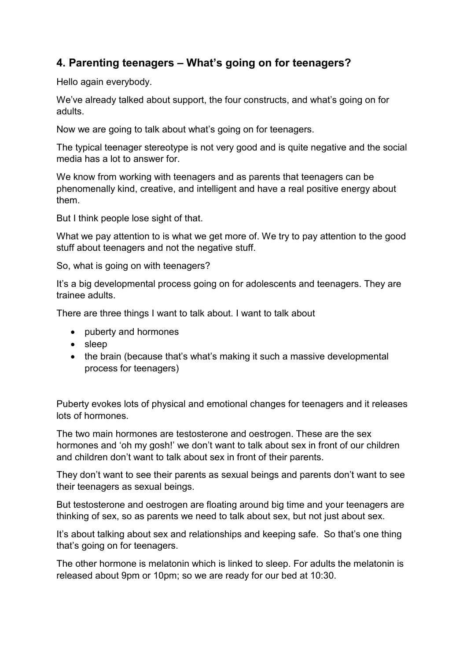## **4. Parenting teenagers – What's going on for teenagers?**

Hello again everybody.

We've already talked about support, the four constructs, and what's going on for adults.

Now we are going to talk about what's going on for teenagers.

The typical teenager stereotype is not very good and is quite negative and the social media has a lot to answer for.

We know from working with teenagers and as parents that teenagers can be phenomenally kind, creative, and intelligent and have a real positive energy about them.

But I think people lose sight of that.

What we pay attention to is what we get more of. We try to pay attention to the good stuff about teenagers and not the negative stuff.

So, what is going on with teenagers?

It's a big developmental process going on for adolescents and teenagers. They are trainee adults.

There are three things I want to talk about. I want to talk about

- puberty and hormones
- sleep
- the brain (because that's what's making it such a massive developmental process for teenagers)

Puberty evokes lots of physical and emotional changes for teenagers and it releases lots of hormones.

The two main hormones are testosterone and oestrogen. These are the sex hormones and 'oh my gosh!' we don't want to talk about sex in front of our children and children don't want to talk about sex in front of their parents.

They don't want to see their parents as sexual beings and parents don't want to see their teenagers as sexual beings.

But testosterone and oestrogen are floating around big time and your teenagers are thinking of sex, so as parents we need to talk about sex, but not just about sex.

It's about talking about sex and relationships and keeping safe. So that's one thing that's going on for teenagers.

The other hormone is melatonin which is linked to sleep. For adults the melatonin is released about 9pm or 10pm; so we are ready for our bed at 10:30.